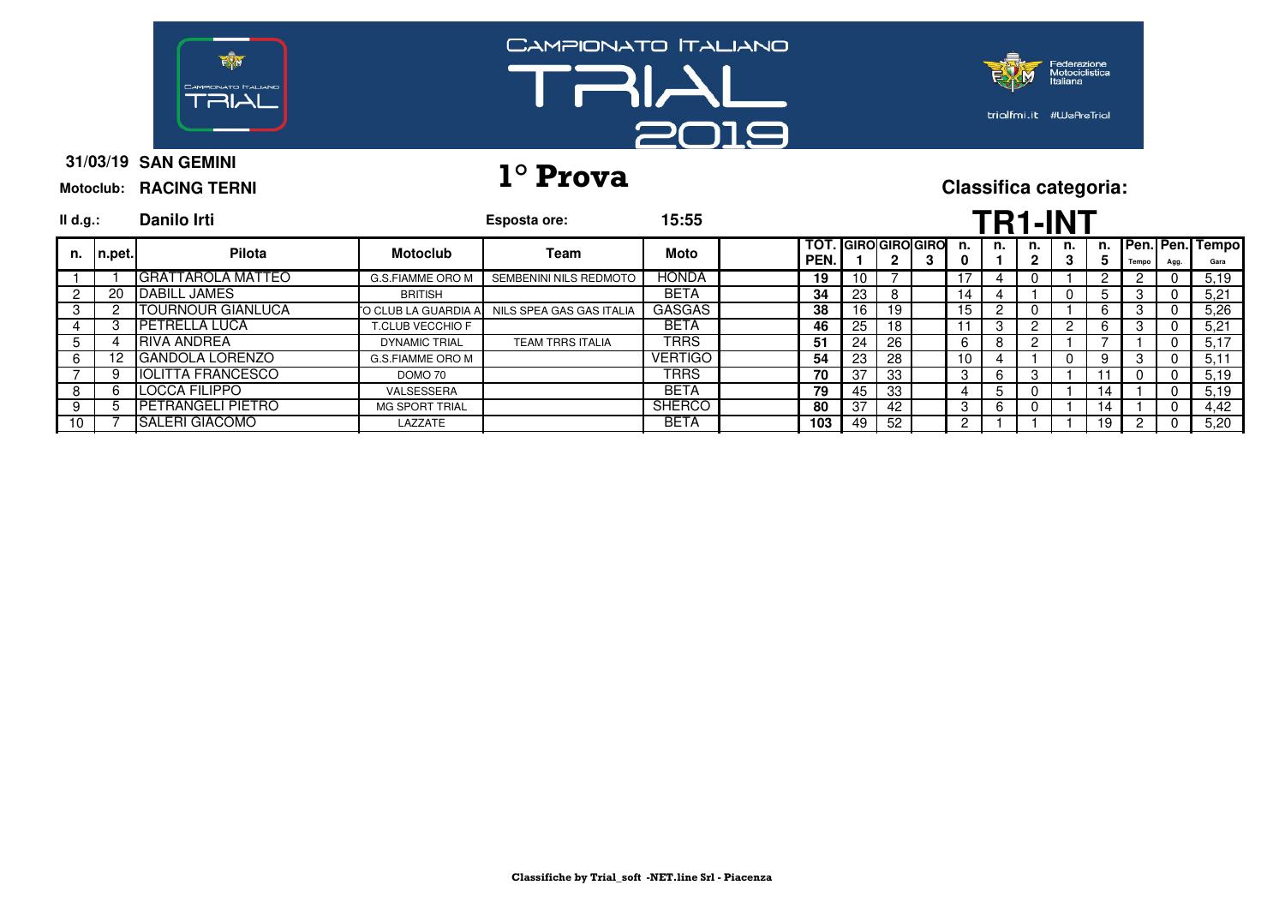

# **31/03/19 1° Prova Classifica categoria:**

| $II$ d.g.:    |            | Danilo Irti               |                         | Esposta ore:             | 15:55          |                                    |     |     |         | <b>TR1-INT</b> |         |   |    |       |          |                            |
|---------------|------------|---------------------------|-------------------------|--------------------------|----------------|------------------------------------|-----|-----|---------|----------------|---------|---|----|-------|----------|----------------------------|
| n.            | $ n.$ pet. | Pilota                    | <b>Motoclub</b>         | Team                     | Moto           | <b>TOT. GIROIGIROIGIRO</b><br>PEN. |     |     | n.<br>0 | n.             | n.<br>2 | 3 | 5  | Tempo | Agg.     | n. Pen. Pen. Tempo<br>Gara |
|               |            | <b>GRATTAROLA MATTEO</b>  | G.S.FIAMME ORO M        | SEMBENINI NILS REDMOTO   | <b>HONDA</b>   | 19                                 | 10  |     |         | 4              |         |   |    |       |          | 5.19                       |
|               | 20         | <b>IDABILL JAMES</b>      | <b>BRITISH</b>          |                          | <b>BETA</b>    | 34                                 | 23  |     | 14      |                |         |   |    | 3     | $\Omega$ | 5,21                       |
| 3             |            | TOURNOUR GIANLUCA         | TO CLUB LA GUARDIA A.   | NILS SPEA GAS GAS ITALIA | <b>GASGAS</b>  | 38                                 | 16  | 19  | 15      |                |         |   |    | 3     |          | 5,26                       |
|               |            | <b>IPETRELLA LUCA</b>     | <b>T.CLUB VECCHIO F</b> |                          | <b>BETA</b>    | 46                                 | 25  | 18  |         | 3              | 2       |   |    |       | $\Omega$ | 5.21                       |
| $\mathcal{D}$ |            | <b>IRIVA ANDREA</b>       | <b>DYNAMIC TRIAL</b>    | <b>TEAM TRRS ITALIA</b>  | <b>TRRS</b>    | 51                                 | 24  | -26 | 6       | 8              | 2       |   |    |       | $\Omega$ | 5,17                       |
| 6             |            | 12 IGANDOLA LORENZO       | G.S.FIAMME ORO M        |                          | <b>VERTIGO</b> | 54                                 | 23  | -28 | 10      |                |         | 0 | 9  | 3     | 0        | 5,11                       |
|               |            | <b>IIOLITTA FRANCESCO</b> | DOMO 70                 |                          | <b>TRRS</b>    | 70                                 | -37 | -33 | 3       | 6              |         |   |    |       |          | 5,19                       |
| 8             |            | <b>ILOCCA FILIPPO</b>     | VALSESSERA              |                          | <b>BETA</b>    | 79                                 | 45  | -33 | 4       |                |         |   | 14 |       | $\Omega$ | 5,19                       |
| 9             |            | <b>IPETRANGELI PIETRO</b> | <b>MG SPORT TRIAL</b>   |                          | <b>SHERCO</b>  | 80                                 | 37  | -42 | 3       | 6              |         |   | 14 |       | 0        | 4,42                       |
| 10            |            | <b>SALERI GIACOMO</b>     | LAZZATE                 |                          | <b>BETA</b>    | 103                                | 49  | -52 | 2       |                |         |   | 19 |       |          | 5,20                       |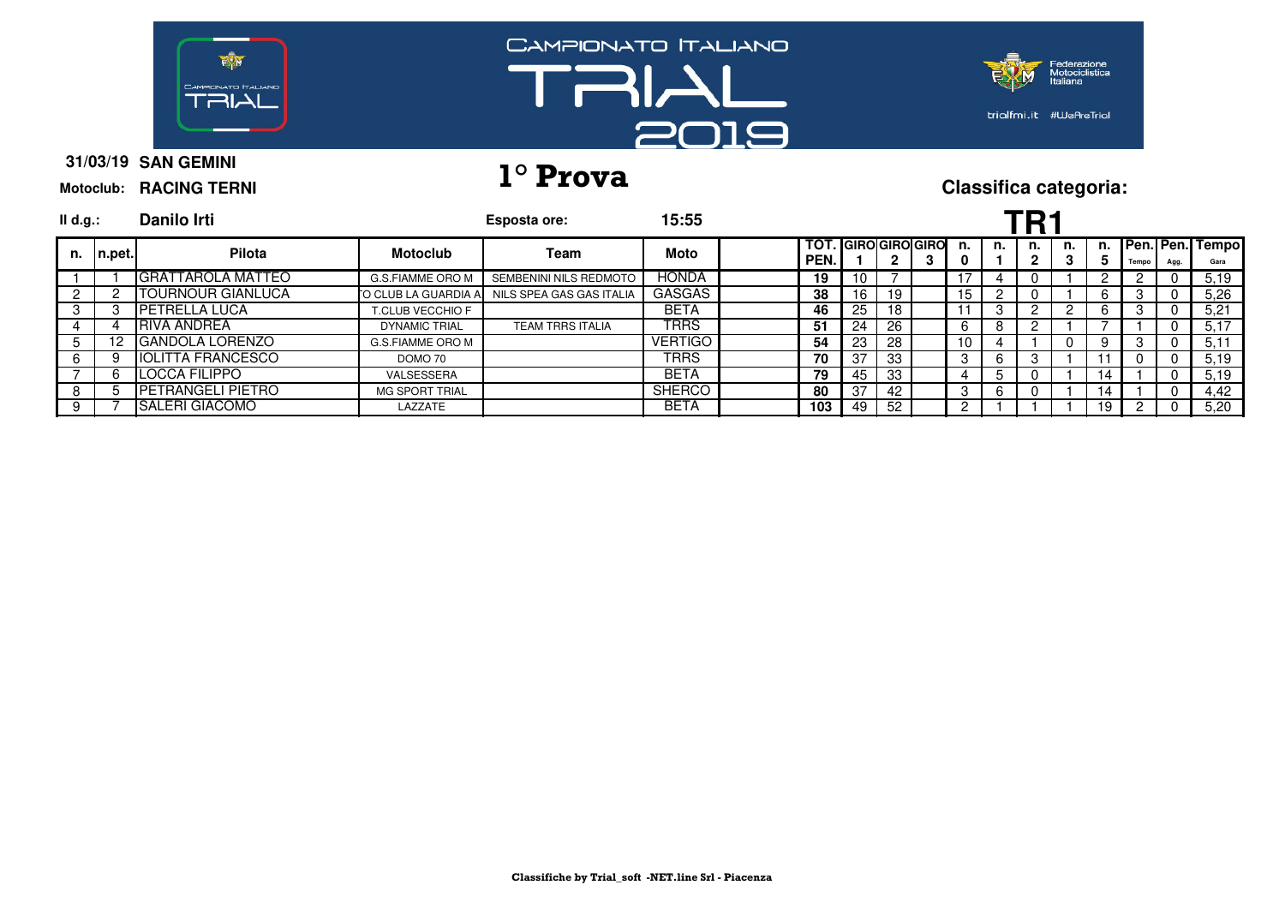

# **31/03/19 1° Prova Classifica categoria:**

| Danilo Irti         |                                                                                                                                                                                                     |                          | 15:55                                 |     |              |      |   |         |                    |    |    |    |       |      |                 |
|---------------------|-----------------------------------------------------------------------------------------------------------------------------------------------------------------------------------------------------|--------------------------|---------------------------------------|-----|--------------|------|---|---------|--------------------|----|----|----|-------|------|-----------------|
| Pilota              | <b>Motoclub</b>                                                                                                                                                                                     | Team                     | Moto                                  |     |              |      | з | n.<br>0 | n.                 | n. | n. | D. | Tempo | Agg. | Gara            |
|                     | G.S.FIAMME ORO M                                                                                                                                                                                    | SEMBENINI NILS REDMOTO   | <b>HONDA</b>                          | 19  | 10           |      |   |         |                    |    |    |    |       |      | 5,19            |
| OURNOUR GIANLUCA    |                                                                                                                                                                                                     | NILS SPEA GAS GAS ITALIA | <b>GASGAS</b>                         | 38  | 16           | 19   |   | 15      |                    |    |    |    | 3     |      | 5.26            |
|                     | <b>T.CLUB VECCHIO F</b>                                                                                                                                                                             |                          | <b>BETA</b>                           | 46  | 25           | 18   |   | 11      | 3                  |    |    |    | 3     |      | 5.21            |
|                     | <b>DYNAMIC TRIAL</b>                                                                                                                                                                                | <b>TEAM TRRS ITALIA</b>  | <b>TRRS</b>                           | 51  | 24           | 26   |   | 6       |                    |    |    |    |       |      | 5.17            |
|                     | G.S.FIAMME ORO M                                                                                                                                                                                    |                          | <b>VERTIGO</b>                        | 54  | 23           | -28  |   | 10      |                    |    |    | Q  | 3     |      | 5,11            |
|                     | DOMO 70                                                                                                                                                                                             |                          | <b>TRRS</b>                           | 70  | 37           | -33  |   | 3       |                    |    |    |    |       |      | 5.19            |
|                     | VALSESSERA                                                                                                                                                                                          |                          | <b>BETA</b>                           | 79  | 45           | - 33 |   |         |                    |    |    | 14 |       |      | 5.19            |
|                     | <b>MG SPORT TRIAL</b>                                                                                                                                                                               |                          | <b>SHERCO</b>                         | 80  | -37          | 42   |   | 3       |                    |    |    | 14 |       |      | 4.42            |
|                     | LAZZATE                                                                                                                                                                                             |                          | <b>BETA</b>                           | 103 | 49           | - 52 |   |         |                    |    |    | 19 |       |      | 5,20            |
| II d.g.:<br>In.pet. | IGRATTAROLA MATTEO<br><b>IPETRELLA LUCA</b><br><b>IRIVA ANDREA</b><br>12 GANDOLA LORENZO<br><b>IOLITTA FRANCESCO</b><br><b>LOCCA FILIPPO</b><br><b>IPETRANGELI PIETRO</b><br><b>ISALERI GIACOMO</b> |                          | Esposta ore:<br>TO CLUB LA GUARDIA A. |     | TOT.<br>PEN. |      |   |         | . IGIROIGIROIGIROI |    |    |    |       |      | Pen. Pen. Tempo |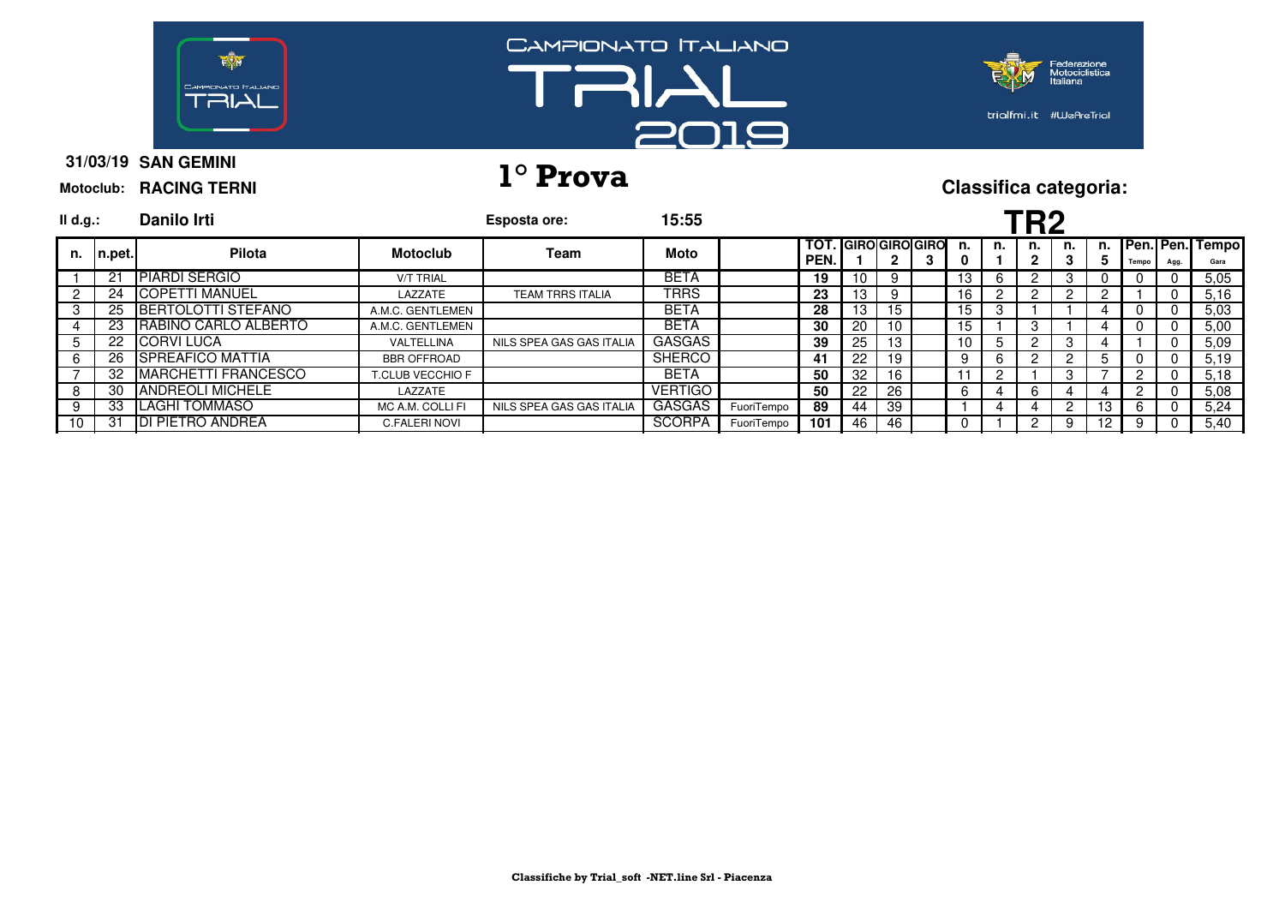

# **31/03/19 1° Prova Classifica categoria:**

| II d.g.:    |                   | Danilo Irti                |                    | Esposta ore:             | 15:55          |            |                    |    |     |                        |         |    | TR2 |         |               |       |      |                            |
|-------------|-------------------|----------------------------|--------------------|--------------------------|----------------|------------|--------------------|----|-----|------------------------|---------|----|-----|---------|---------------|-------|------|----------------------------|
| n.          | $ n_{\cdot}$ pet. | Pilota                     | <b>Motoclub</b>    | Team                     | Moto           |            | TOT.<br><b>PEN</b> |    |     | . IGIRO GIRO GIRO<br>3 | n.<br>0 | n. | n.  | n.<br>3 | 5             | Tempo | Agg. | n. Pen. Pen. Tempo<br>Gara |
|             | $2^{\circ}$       | <b>PIARDI SERGIO</b>       | <b>V/T TRIAL</b>   |                          | <b>BETA</b>    |            | 19                 | 10 |     |                        | 13      |    |     |         |               |       |      | 5.05                       |
|             | 24                | <b>ICOPETTI MANUEL</b>     | LAZZATE            | <b>TEAM TRRS ITALIA</b>  | <b>TRRS</b>    |            | 23                 | 13 | 9   |                        | 16      |    |     |         |               |       |      | 5.16                       |
| 3           | 25                | <b>IBERTOLOTTI STEFANO</b> | A.M.C. GENTLEMEN   |                          | <b>BETA</b>    |            | 28                 | 13 | 15  |                        | 15      | з  |     |         |               |       |      | 5,03                       |
|             | 23                | RABINO CARLO ALBERTO       | A.M.C. GENTLEMEN   |                          | <b>BETA</b>    |            | 30                 | 20 | 10  |                        | 15      |    |     |         |               |       |      | 5.00                       |
| $5^{\circ}$ | 22                | <b>ICORVILUCA</b>          | VALTELLINA         | NILS SPEA GAS GAS ITALIA | <b>GASGAS</b>  |            | 39                 | 25 | 13  |                        | 10      |    | റ   | 3       |               |       |      | 5.09                       |
| 6           | 26                | <b>ISPREAFICO MATTIA</b>   | <b>BBR OFFROAD</b> |                          | <b>SHERCO</b>  |            | 41                 | 22 | 19  |                        | 9       | h  |     |         | $\mathcal{D}$ | U     |      | 5.19                       |
|             | 32                | <b>MARCHETTI FRANCESCO</b> | T.CLUB VECCHIO F   |                          | <b>BETA</b>    |            | 50                 | 32 | 16  |                        |         |    |     | 3       |               |       |      | 5,18                       |
| 8           | -30               | <b>IANDREOLI MICHELE</b>   | LAZZATE            |                          | <b>VERTIGO</b> |            | 50                 | 22 | -26 |                        | 6       |    | 6   |         |               |       |      | 5.08                       |
| -9          | 33                | <b>ILAGHI TOMMASO</b>      | MC A.M. COLLI FI   | NILS SPEA GAS GAS ITALIA | <b>GASGAS</b>  | FuoriTempo | 89                 | 44 | -39 |                        |         |    |     | っ       | 13            | 6     |      | 5.24                       |
| 10          | 3.                | <b>IDI PIETRO ANDREA</b>   | C.FALERI NOVI      |                          | <b>SCORPA</b>  | FuoriTempo | 101                | 46 | 46  |                        |         |    |     | 9       | 12            | 9     |      | 5,40                       |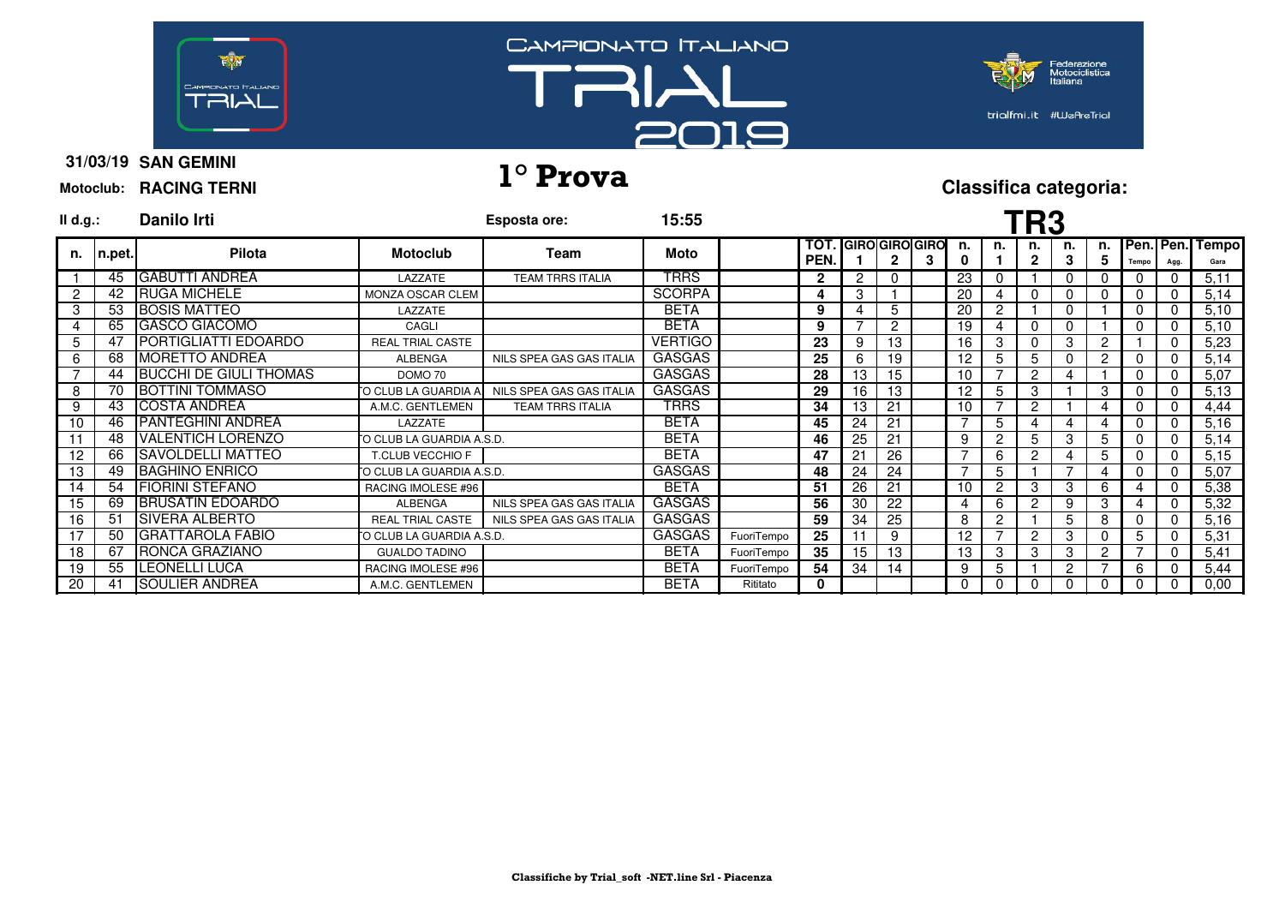





**31/03/19 SAN GEMINI Motoclub: RACING TERNI**

# **31/03/19 1° Prova Classifica categoria:**

| II d.g.: |         | Danilo Irti                   |                          | Esposta ore:             | 15:55          |            |              |                       |               |   |          |                | <b>TR3</b> |          |                |       |              |                         |
|----------|---------|-------------------------------|--------------------------|--------------------------|----------------|------------|--------------|-----------------------|---------------|---|----------|----------------|------------|----------|----------------|-------|--------------|-------------------------|
| n.       | In.pet. | Pilota                        | <b>Motoclub</b>          | Team                     | Moto           |            | TOT.<br>PEN. | <b>GIRO GIRO GIRO</b> | 2             | 3 | n.<br>0  | n.             | n.<br>2    | n.<br>3  | n. l<br>5      | Tempo | Agg.         | Pen. Pen. Tempo<br>Gara |
|          | 45      | <b>IGABUTTI ANDREA</b>        | LAZZATE                  | <b>TEAM TRRS ITALIA</b>  | <b>TRRS</b>    |            | $\mathbf{2}$ | 2                     | $\Omega$      |   | 23       | 0              |            | $\Omega$ | 0              |       | 0            | 5,11                    |
| 2        | 42      | <b>IRUGA MICHELE</b>          | <b>MONZA OSCAR CLEM</b>  |                          | <b>SCORPA</b>  |            | 4            | 3                     |               |   | 20       | 4              |            |          | 0              |       | $\mathbf{0}$ | 5,14                    |
| 3        | 53      | <b>IBOSIS MATTEO</b>          | LAZZATE                  |                          | <b>BETA</b>    |            | 9            |                       |               |   | 20       | 2              |            |          |                |       | 0            | 5,10                    |
| 4        | 65      | <b>GASCO GIACOMO</b>          | CAGLI                    |                          | <b>BETA</b>    |            | 9            |                       | $\mathcal{P}$ |   | 19       | Δ              |            |          |                |       | 0            | 5,10                    |
| 5        | 47      | <b>IPORTIGLIATTI EDOARDO</b>  | <b>REAL TRIAL CASTE</b>  |                          | <b>VERTIGO</b> |            | 23           | 9                     | 13            |   | 16       | 3              |            | 3        | $\overline{2}$ |       | 0            | 5,23                    |
| 6        | 68      | <b>IMORETTO ANDREA</b>        | <b>ALBENGA</b>           | NILS SPEA GAS GAS ITALIA | <b>GASGAS</b>  |            | 25           | 6                     | 19            |   | 12       | 5              | 5          |          | 2              |       | 0            | 5,14                    |
|          | 44      | <b>BUCCHI DE GIULI THOMAS</b> | DOMO 70                  |                          | <b>GASGAS</b>  |            | 28           | 13                    | 15            |   | 10       |                | 2          |          |                |       | 0            | 5,07                    |
| 8        | 70      | <b>BOTTINI TOMMASO</b>        | O CLUB LA GUARDIA A.     | NILS SPEA GAS GAS ITALIA | <b>GASGAS</b>  |            | 29           | 16                    | 13            |   | 12       | 5              | з          |          | 3              |       | 0            | 5,13                    |
| -9       | 43      | <b>ICOSTA ANDREA</b>          | A.M.C. GENTLEMEN         | <b>TEAM TRRS ITALIA</b>  | TRRS           |            | 34           | 13                    | 21            |   | 10       |                | 2          |          | 4              |       | $\Omega$     | 4,44                    |
| 10       | 46      | <b>IPANTEGHINI ANDREA</b>     | LAZZATE                  |                          | <b>BETA</b>    |            | 45           | 24                    | 21            |   |          | 5              |            |          |                |       | $\Omega$     | 5,16                    |
|          | 48      | <b>IVALENTICH LORENZO</b>     | O CLUB LA GUARDIA A.S.D. |                          | <b>BETA</b>    |            | 46           | 25                    | 21            |   | 9        | 2              | 5          | з        | 5              |       | 0            | 5,14                    |
| 12       | 66      | <b>SAVOLDELLI MATTEO</b>      | T.CLUB VECCHIO F         |                          | <b>BETA</b>    |            | 47           | 21                    | 26            |   |          | 6              |            |          | 5              |       | 0            | 5,15                    |
| 13       | 49      | <b>IBAGHINO ENRICO</b>        | O CLUB LA GUARDIA A.S.D. |                          | <b>GASGAS</b>  |            | 48           | 24                    | 24            |   | ⇁        | 5              |            |          |                |       | 0            | 5,07                    |
| 14       | 54      | <b>FIORINI STEFANO</b>        | RACING IMOLESE #96       |                          | <b>BETA</b>    |            | 51           | 26                    | 21            |   | 10       | 2              | З          | з        | 6              |       | $\Omega$     | 5,38                    |
| 15       | 69      | <b>IBRUSATIN EDOARDO</b>      | <b>ALBENGA</b>           | NILS SPEA GAS GAS ITALIA | <b>GASGAS</b>  |            | 56           | 30                    | 22            |   | 4        | 6              | 2          | 9        | 3              |       | 0            | 5,32                    |
| 16       | 51      | <b>ISIVERA ALBERTO</b>        | <b>REAL TRIAL CASTE</b>  | NILS SPEA GAS GAS ITALIA | <b>GASGAS</b>  |            | 59           | 34                    | 25            |   | 8        | $\overline{c}$ |            | 5        | 8              |       | 0            | 5,16                    |
|          | 50      | <b>IGRATTAROLA FABIO</b>      | O CLUB LA GUARDIA A.S.D. |                          | <b>GASGAS</b>  | FuoriTempo | 25           |                       | 9             |   | 12       |                | 2          | 3        | 0              | 5.    | 0            | 5,31                    |
| 18       | 67      | <b>IRONCA GRAZIANO</b>        | <b>GUALDO TADINO</b>     |                          | <b>BETA</b>    | FuoriTempo | 35           | 15                    | 13            |   | 13       | 3              | 3          | 3        | $\overline{2}$ |       | 0            | 5,41                    |
| 19       | 55      | <b>ILEONELLI LUCA</b>         | RACING IMOLESE #96       |                          | <b>BETA</b>    | FuoriTempo | 54           | 34                    | 14            |   | 9        | 5              |            | 2        |                | 6     | 0            | 5,44                    |
| 20       | 41      | <b>ISOULIER ANDREA</b>        | A.M.C. GENTLEMEN         |                          | <b>BETA</b>    | Rititato   | 0            |                       |               |   | $\Omega$ | $\theta$       |            |          | 0              |       | 0            | 0,00                    |

**Classifiche by Trial\_soft -NET.line Srl - Piacenza**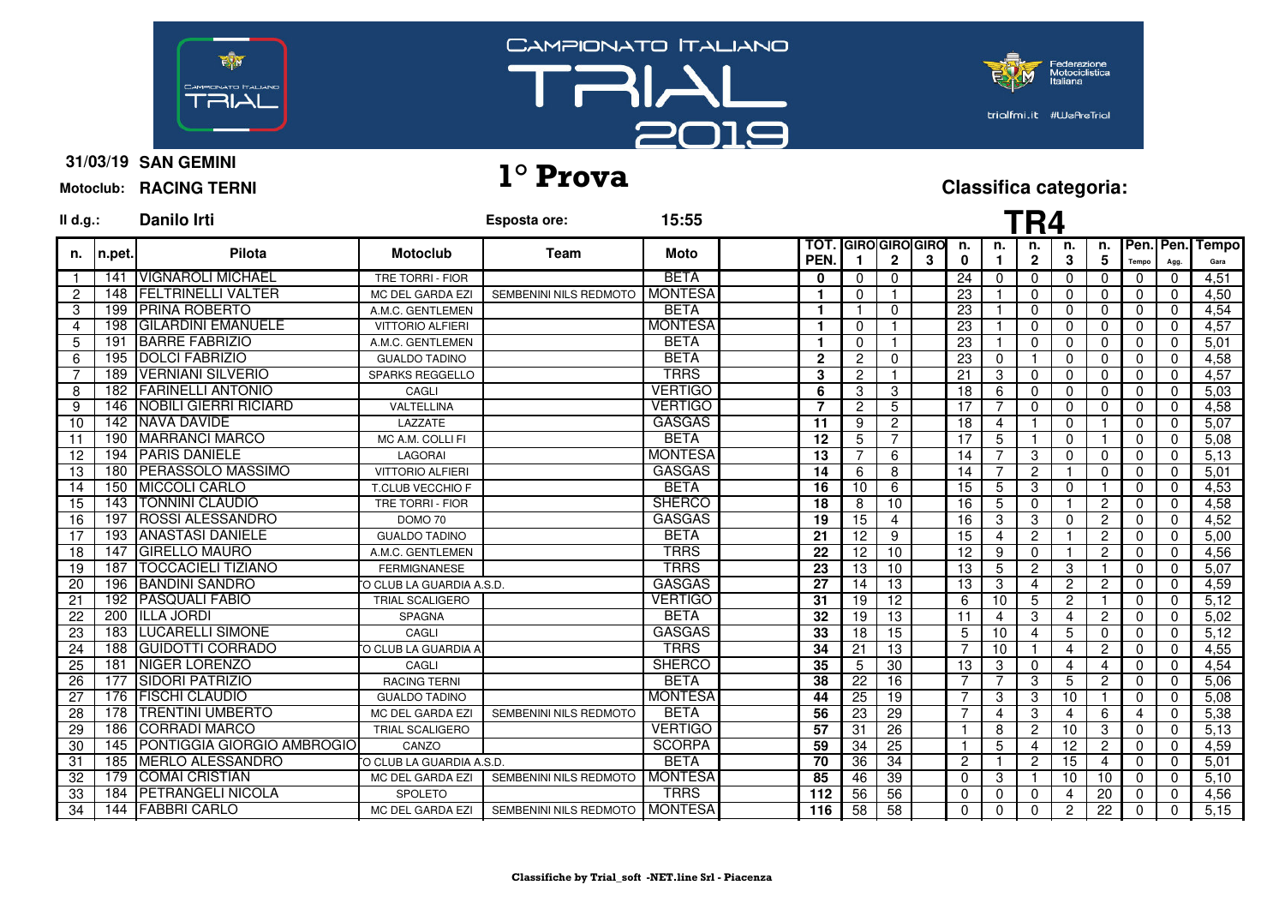



ederazio<mark>ne</mark><br>lotociclistica trialfmi.it #WeAreTrial

**31/03/19 SAN GEMINI Motoclub: RACING TERNI**

# **31/03/19 1° Prova Classifica categoria:**

| $I\mathsf{I}$ d.g.: |         | <b>Danilo Irti</b>                |                          | Esposta ore:                     | 15:55          |                   |                 |                 |                             |                 |                | TR4                |                |                 |                |              |                      |
|---------------------|---------|-----------------------------------|--------------------------|----------------------------------|----------------|-------------------|-----------------|-----------------|-----------------------------|-----------------|----------------|--------------------|----------------|-----------------|----------------|--------------|----------------------|
| n.                  | In.pet. | <b>Pilota</b>                     | <b>Motoclub</b>          | <b>Team</b>                      | <b>Moto</b>    | тот<br><b>PEN</b> |                 | $\mathbf{2}$    | <b>IGIROIGIROIGIRO</b><br>3 | n.<br>0         | n.             | n.<br>$\mathbf{2}$ | n.<br>3        | n.<br>5         | Pen.<br>Tempo  | Pen.<br>Agg. | <b>Tempo</b><br>Gara |
|                     | 141     | <b>VIGNAROLI MICHAEL</b>          | <b>TRE TORRI - FIOR</b>  |                                  | <b>BETA</b>    | $\bf{0}$          | $\Omega$        | $\mathbf 0$     |                             | 24              | $\Omega$       | $\Omega$           | 0              | $\Omega$        | $\Omega$       | $\Omega$     | 4,51                 |
| 2                   | 148     | <b>IFELTRINELLI VALTER</b>        | MC DEL GARDA EZI         | SEMBENINI NILS REDMOTO           | <b>MONTESA</b> | 1                 | $\Omega$        |                 |                             | 23              |                | $\Omega$           | $\Omega$       | $\Omega$        | $\Omega$       | $\mathbf{0}$ | 4.50                 |
| 3                   | 199     | <b>IPRINA ROBERTO</b>             | A.M.C. GENTLEMEN         |                                  | <b>BETA</b>    | $\mathbf{1}$      | - 1             | $\mathbf{0}$    |                             | 23              |                | $\Omega$           | $\mathbf{0}$   | $\Omega$        | $\Omega$       | $\Omega$     | 4,54                 |
| 4                   | 198     | <b>GILARDINI EMANUELE</b>         | <b>VITTORIO ALFIERI</b>  |                                  | <b>MONTESA</b> | 1                 | $\Omega$        |                 |                             | 23              |                | $\Omega$           | 0              | $\mathbf{0}$    | $\Omega$       | $\mathbf{0}$ | 4,57                 |
| 5                   | 191     | <b>BARRE FABRIZIO</b>             | A.M.C. GENTLEMEN         |                                  | <b>BETA</b>    | 1                 | $\Omega$        |                 |                             | 23              |                | $\Omega$           | $\Omega$       | $\Omega$        | $\Omega$       | $\mathbf{0}$ | 5,01                 |
| 6                   | 195     | <b>DOLCI FABRIZIO</b>             | <b>GUALDO TADINO</b>     |                                  | <b>BETA</b>    | $\overline{2}$    | 2               | 0               |                             | $\overline{23}$ | $\mathbf 0$    |                    | 0              | $\Omega$        | $\mathbf{0}$   | $\mathbf{0}$ | 4,58                 |
| $\overline{7}$      | 189     | <b>VERNIANI SILVERIO</b>          | <b>SPARKS REGGELLO</b>   |                                  | <b>TRRS</b>    | 3                 | $\overline{2}$  |                 |                             | $\overline{21}$ | 3              | $\Omega$           | $\Omega$       | $\Omega$        | $\Omega$       | $\mathbf{0}$ | 4,57                 |
| 8                   | 182     | <b>FARINELLI ANTONIO</b>          | CAGLI                    |                                  | <b>VERTIGO</b> | 6                 | 3               | 3               |                             | 18              | 6              | $\Omega$           | $\mathbf{0}$   | $\Omega$        | $\Omega$       | $\mathbf{0}$ | 5,03                 |
| 9                   | 146     | <b>NOBILI GIERRI RICIARD</b>      | VALTELLINA               |                                  | <b>VERTIGO</b> | 7                 | $\overline{2}$  | 5               |                             | 17              | 7              | $\Omega$           | $\mathbf{0}$   | $\Omega$        | $\Omega$       | $\Omega$     | 4,58                 |
| 10                  |         | 142 NAVA DAVIDE                   | LAZZATE                  |                                  | <b>GASGAS</b>  | 11                | 9               | 2               |                             | 18              | 4              |                    | $\mathbf{0}$   |                 | $\mathbf{0}$   | $\Omega$     | 5,07                 |
| 11                  | 190     | <b>IMARRANCI MARCO</b>            | MC A.M. COLLI FI         |                                  | <b>BETA</b>    | 12                | 5               | 7               |                             | 17              | 5              |                    | $\mathbf{0}$   |                 | $\mathbf 0$    | $\mathbf{0}$ | 5,08                 |
| 12                  |         | 194 PARIS DANIELE                 | <b>LAGORAI</b>           |                                  | <b>MONTESA</b> | 13                | 7               | 6               |                             | 14              |                | 3                  | $\mathbf{0}$   | $\Omega$        | $\mathbf{0}$   | 0            | 5,13                 |
| 13                  | 180     | <b>PERASSOLO MASSIMO</b>          | <b>VITTORIO ALFIERI</b>  |                                  | <b>GASGAS</b>  | 14                | 6               | 8               |                             | 14              | $\overline{7}$ | $\overline{2}$     |                | $\mathbf{0}$    | $\Omega$       | $\mathbf{0}$ | 5,01                 |
| 14                  | 150     | <b>MICCOLI CARLO</b>              | T.CLUB VECCHIO F         |                                  | <b>BETA</b>    | 16                | 10              | 6               |                             | 15              | 5              | 3                  | 0              |                 | $\Omega$       | $\mathbf{0}$ | 4,53                 |
| 15                  |         | 143 TONNINI CLAUDIO               | TRE TORRI - FIOR         |                                  | <b>SHERCO</b>  | 18                | 8               | 10              |                             | 16              | 5              | $\Omega$           |                | $\overline{2}$  | $\Omega$       | $\mathbf{0}$ | 4,58                 |
| 16                  |         | 197 ROSSI ALESSANDRO              | DOMO 70                  |                                  | <b>GASGAS</b>  | 19                | $\overline{15}$ | 4               |                             | 16              | 3              | 3                  | 0              | $\overline{2}$  | $\Omega$       | $\Omega$     | 4,52                 |
| 17                  |         | 193 ANASTASI DANIELE              | <b>GUALDO TADINO</b>     |                                  | <b>BETA</b>    | 21                | 12              | 9               |                             | 15              | $\overline{4}$ | $\overline{c}$     |                | $\overline{2}$  | $\Omega$       | $\mathbf{0}$ | 5,00                 |
| 18                  |         | 147 GIRELLO MAURO                 | A.M.C. GENTLEMEN         |                                  | <b>TRRS</b>    | 22                | 12              | 10              |                             | 12              | 9              | $\Omega$           |                | $\overline{2}$  | $\Omega$       | $\Omega$     | 4,56                 |
| 19                  | 187     | <b>TOCCACIELI TIZIANO</b>         | <b>FERMIGNANESE</b>      |                                  | <b>TRRS</b>    | $\overline{23}$   | $\overline{13}$ | 10              |                             | 13              | 5              | $\overline{2}$     | 3              |                 | $\Omega$       | $\mathbf 0$  | 5,07                 |
| 20                  | 196     | <b>IBANDINI SANDRO</b>            | O CLUB LA GUARDIA A.S.D. |                                  | <b>GASGAS</b>  | 27                | 14              | 13              |                             | 13              | 3              | 4                  | $\mathbf{2}$   | $\overline{2}$  | $\Omega$       | $\Omega$     | 4,59                 |
| 21                  | 192     | <b>PASQUALI FABIO</b>             | <b>TRIAL SCALIGERO</b>   |                                  | <b>VERTIGO</b> | 31                | 19              | 12              |                             | 6               | 10             | 5                  | $\overline{2}$ |                 | $\Omega$       | $\mathbf 0$  | 5,12                 |
| 22                  | 200     | <b>ILLA JORDI</b>                 | <b>SPAGNA</b>            |                                  | <b>BETA</b>    | 32                | 19              | 13              |                             | 11              | $\overline{4}$ | 3                  | $\overline{4}$ | $\overline{2}$  | $\Omega$       | $\mathbf{0}$ | 5,02                 |
| 23                  |         | <b>183   LUCARELLI SIMONE</b>     | CAGLI                    |                                  | <b>GASGAS</b>  | 33                | 18              | 15              |                             | 5               | 10             | 4                  | 5              | $\mathbf{0}$    | $\mathbf{0}$   | $\mathbf 0$  | 5,12                 |
| 24                  | 188     | <b>GUIDOTTI CORRADO</b>           | O CLUB LA GUARDIA A      |                                  | <b>TRRS</b>    | 34                | 21              | 13              |                             | 7               | 10             |                    | 4              | $\overline{2}$  | $\Omega$       | $\Omega$     | 4,55                 |
| $\overline{25}$     | 181     | <b>NIGER LORENZO</b>              | CAGLI                    |                                  | <b>SHERCO</b>  | 35                | 5               | 30              |                             | 13              | 3              | $\Omega$           | 4              | 4               | $\mathbf{0}$   | $\mathbf 0$  | 4,54                 |
| 26                  | 177     | <b>SIDORI PATRIZIO</b>            | <b>RACING TERNI</b>      |                                  | <b>BETA</b>    | 38                | 22              | 16              |                             | $\overline{7}$  | $\overline{7}$ | 3                  | 5              | $\overline{2}$  | $\Omega$       | $\mathbf{0}$ | 5,06                 |
| 27                  | 176     | <b>FISCHI CLAUDIO</b>             | <b>GUALDO TADINO</b>     |                                  | <b>MONTESA</b> | 44                | $\overline{25}$ | $\overline{19}$ |                             | 7               | 3              | 3                  | 10             |                 | $\Omega$       | $\mathbf 0$  | 5,08                 |
| 28                  | 178     | <b>ITRENTINI UMBERTO</b>          | MC DEL GARDA EZI         | SEMBENINI NILS REDMOTO           | <b>BETA</b>    | 56                | 23              | 29              |                             | 7               | $\overline{4}$ | 3                  | 4              | 6               | $\overline{4}$ | $\mathbf{0}$ | 5,38                 |
| 29                  | 186     | <b>CORRADI MARCO</b>              | <b>TRIAL SCALIGERO</b>   |                                  | <b>VERTIGO</b> | 57                | 31              | 26              |                             |                 | 8              | $\overline{c}$     | 10             | 3               | $\Omega$       | 0            | 5,13                 |
| 30                  | 145     | <b>PONTIGGIA GIORGIO AMBROGIO</b> | CANZO                    |                                  | <b>SCORPA</b>  | 59                | 34              | 25              |                             |                 | 5              | $\overline{4}$     | 12             | $\overline{2}$  | $\Omega$       | $\mathbf 0$  | 4,59                 |
| 31                  | 185     | <b>MERLO ALESSANDRO</b>           | O CLUB LA GUARDIA A.S.D. |                                  | <b>BETA</b>    | 70                | 36              | 34              |                             | $\overline{2}$  | -1             | $\overline{c}$     | 15             | 4               | $\Omega$       | $\mathbf 0$  | 5,01                 |
| 32                  | 179     | <b>COMAI CRISTIAN</b>             | MC DEL GARDA EZI         | SEMBENINI NILS REDMOTO           | <b>MONTESA</b> | 85                | 46              | 39              |                             | $\Omega$        | 3              | া                  | 10             | 10              | $\mathbf{0}$   | $\mathbf{0}$ | 5.10                 |
| 33                  | 184     | <b>PETRANGELI NICOLA</b>          | SPOLETO                  |                                  | <b>TRRS</b>    | 112               | 56              | 56              |                             | $\Omega$        | $\Omega$       | 0                  | 4              | 20              | $\mathbf{0}$   | 0            | 4,56                 |
| $\overline{34}$     |         | 144 FABBRI CARLO                  | MC DEL GARDA EZI         | SEMBENINI NILS REDMOTO   MONTESA |                | 116               | 58              | 58              |                             | $\Omega$        | $\Omega$       | $\Omega$           | $\overline{c}$ | $\overline{22}$ | $\mathbf{0}$   | $\Omega$     | 5,15                 |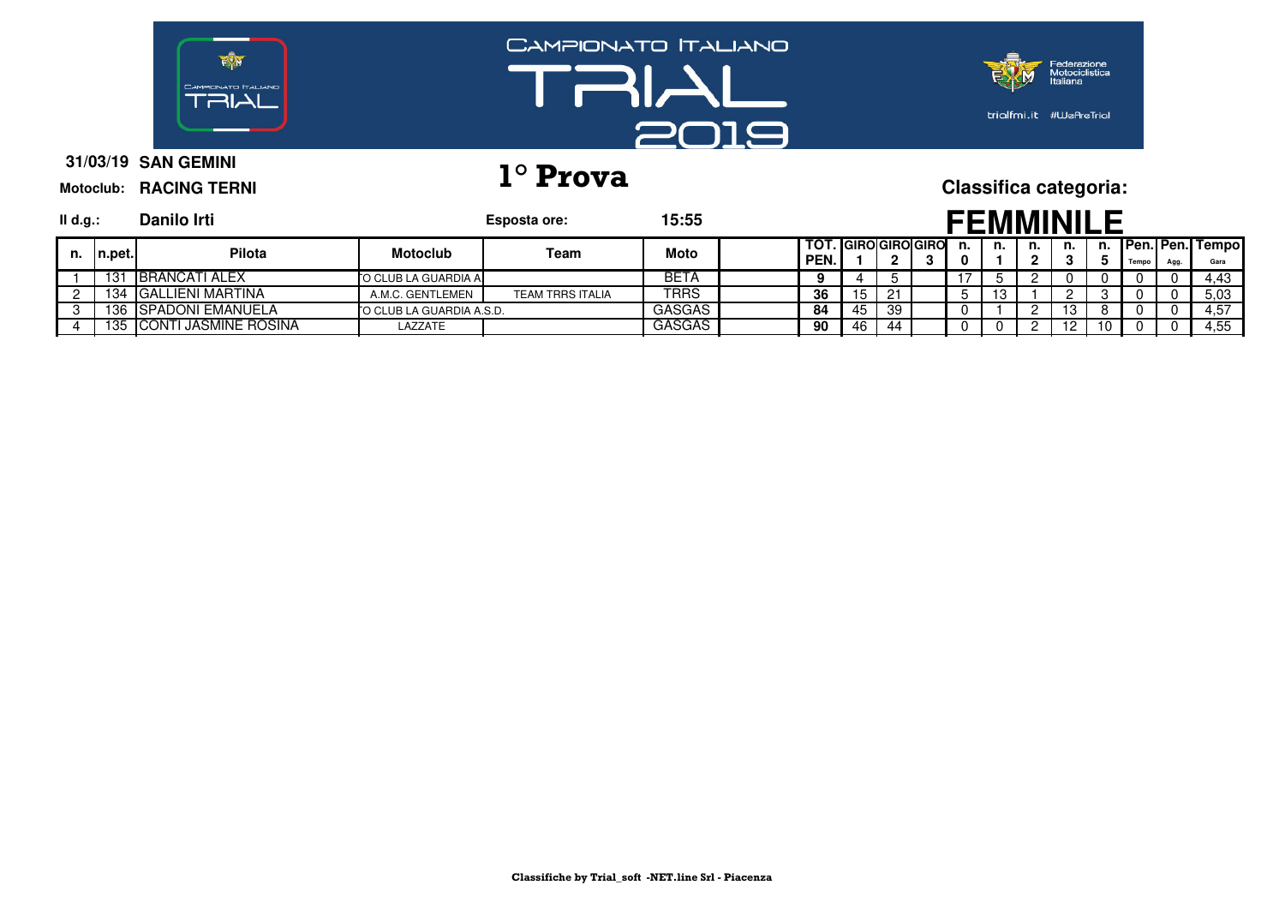

# **31/03/19 1° Prova Classifica categoria:**

| $II$ d.g.: |         | Danilo Irti                  |                           | Esposta ore:            | 15:55         |                               |    |    |    |     |    | FFMMINII |    |       |      |                                 |
|------------|---------|------------------------------|---------------------------|-------------------------|---------------|-------------------------------|----|----|----|-----|----|----------|----|-------|------|---------------------------------|
| n.         | 'n.pet. | <b>Pilota</b>                | <b>Motoclub</b>           | Team                    | Moto          | TOT.  GIRO GIRO GIRO <br>PEN. |    |    | n. | n.  | n. | n.       | n. | Tempo | Agg. | <b>Pen. Pen. Tempol</b><br>Gara |
|            | 131     | <b>IBRANCATI ALEX</b>        | TO CLUB LA GUARDIA A.     |                         | BETA          |                               |    |    |    |     |    |          |    |       |      | 4.43                            |
|            | 134     | <b>GALLIENI MARTINA</b>      | A.M.C. GENTLEMEN          | <b>TEAM TRRS ITALIA</b> | <b>TRRS</b>   | 36                            | 15 | 21 |    | ט ו |    |          |    |       |      | 5,03                            |
|            | 136     | <b>SPADONI EMANUELA</b>      | TO CLUB LA GUARDIA A.S.D. |                         | <b>GASGAS</b> | 84                            | 45 | 39 |    |     |    | ט ו      |    |       |      | 4.57                            |
|            | 135     | <b>ICONTI JASMINE ROSINA</b> | LAZZATE                   |                         | <b>GASGAS</b> | 90                            | 46 | 44 |    |     |    | 12       |    |       |      | 4.55                            |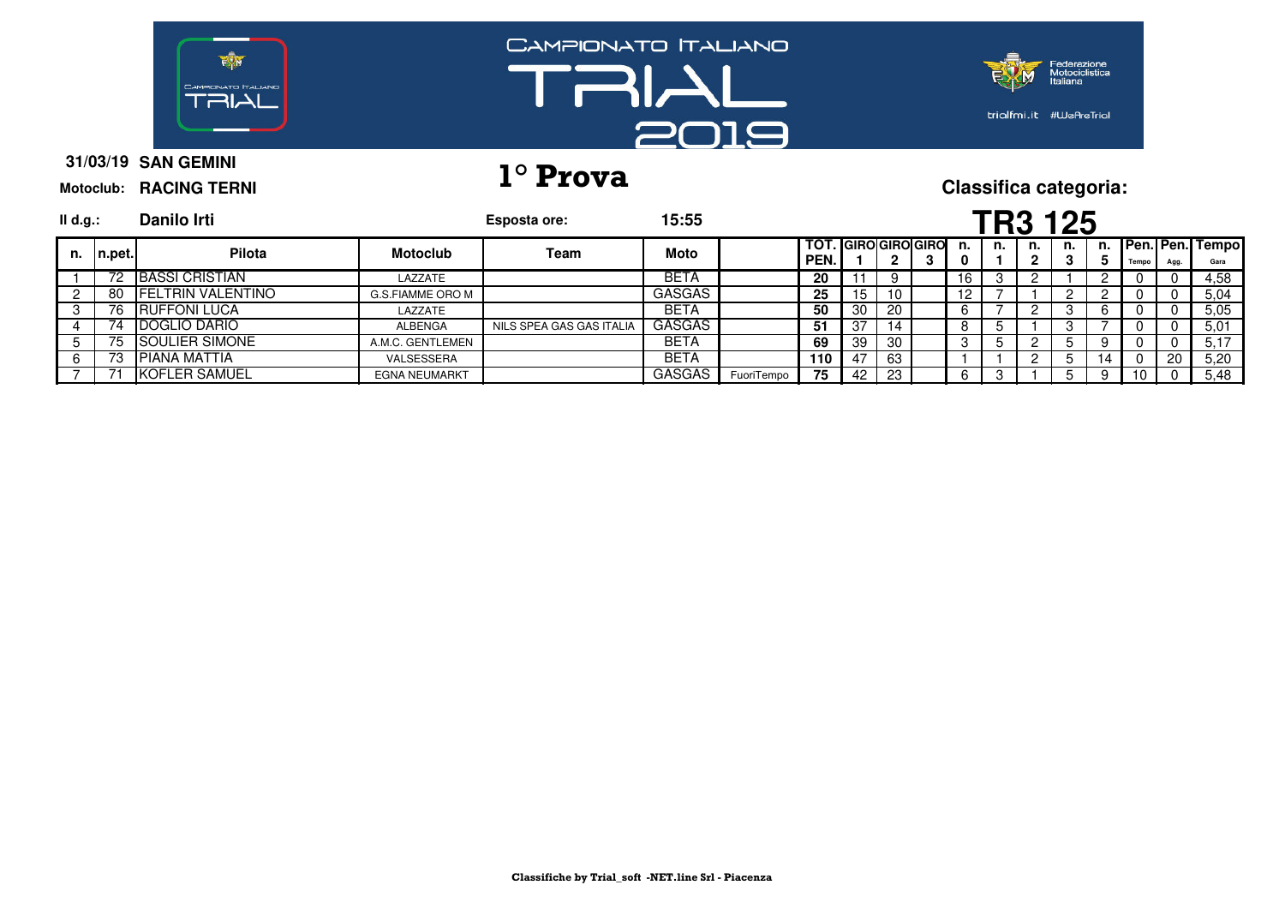

# **31/03/19 1° Prova Classifica categoria:**

| II d.g.: |        | Danilo Irti               |                      | Esposta ore:             | 15:55         |            |                                  |     |    |   |                   |    |    | <b>TR3 125</b> |    |       |      |                            |
|----------|--------|---------------------------|----------------------|--------------------------|---------------|------------|----------------------------------|-----|----|---|-------------------|----|----|----------------|----|-------|------|----------------------------|
| n.       | n.pet. | Pilota                    | <b>Motoclub</b>      | Team                     | Moto          |            | <b>TOT. GIROGIROGIRO</b><br>PEN. |     |    | 3 | n.<br>0           | n. | n. | n.             |    | Tempo | Agg. | n. Pen. Pen. Tempo<br>Gara |
|          | 72     | <b>BASSI CRISTIAN</b>     | LAZZATE              |                          | <b>BETA</b>   |            | 20                               |     |    |   | 16                |    |    |                |    | Ü     | 0    | 4,58                       |
|          | 80     | <b>IFELTRIN VALENTINO</b> | G.S.FIAMME ORO M     |                          | <b>GASGAS</b> |            | 25                               | 15  | 10 |   | $12 \overline{ }$ |    |    |                |    |       |      | 5.04                       |
|          | 76     | <b>IRUFFONI LUCA</b>      | LAZZATE              |                          | <b>BETA</b>   |            | 50                               | -30 | 20 |   | 6                 |    |    |                |    |       |      | 5.05                       |
|          |        | <b>IDOGLIO DARIO</b>      | ALBENGA              | NILS SPEA GAS GAS ITALIA | GASGAS        |            | 51                               | -37 | 14 |   | O                 |    |    |                |    |       |      | 5.01                       |
|          | 75.    | SOULIER SIMONE            | A.M.C. GENTLEMEN     |                          | <b>BETA</b>   |            | 69                               | -39 | 30 |   | 3                 |    |    |                |    | Ü     |      | 5.17                       |
|          | 73     | <b>IPIANA MATTIA</b>      | VALSESSERA           |                          | <b>BETA</b>   |            | 110                              | 47  | 63 |   |                   |    |    |                | 14 |       | 20   | 5,20                       |
|          |        | <b>KOFLER SAMUEL</b>      | <b>EGNA NEUMARKT</b> |                          | <b>GASGAS</b> | FuoriTempo | 75                               | 42  | 23 |   | 6                 |    |    |                |    | 10    |      | 5,48                       |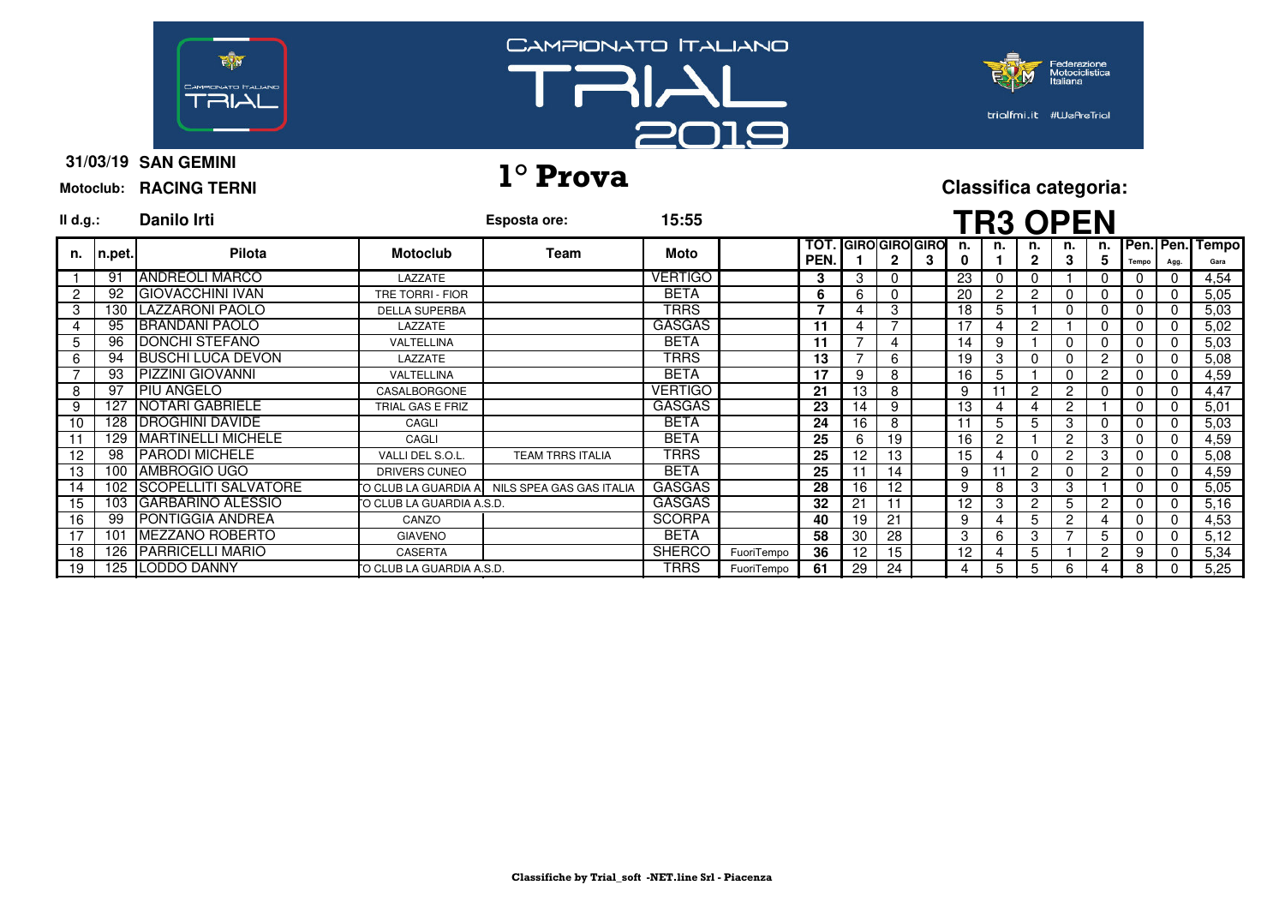





**31/03/19 SAN GEMINI Motoclub: RACING TERNI**

# **31/03/19 1° Prova Classifica categoria:**

| $II$ d.g.:     |        | <b>Danilo Irti</b>       |                           | Esposta ore:                                  | 15:55          |            |              |                |              |                            |         |                | <b>TR3 OPEN</b>    |              |              |          |          |                            |
|----------------|--------|--------------------------|---------------------------|-----------------------------------------------|----------------|------------|--------------|----------------|--------------|----------------------------|---------|----------------|--------------------|--------------|--------------|----------|----------|----------------------------|
| n.             | n.pet. | Pilota                   | <b>Motoclub</b>           | Team                                          | Moto           |            | TOT.<br>PEN. |                | $\mathbf{2}$ | <b>GIRO GIRO GIRO</b><br>3 | n.<br>0 | n.             | n.<br>$\mathbf{2}$ | n.<br>3      | 5            | Tempo    | Agg.     | n. Pen. Pen. Tempo<br>Gara |
|                | 91     | <b>IANDREOLI MARCO</b>   | LAZZATE                   |                                               | <b>VERTIGO</b> |            | 3            | 3              |              |                            | 23      |                | $\Omega$           |              |              |          |          | 4,54                       |
| $\overline{2}$ | 92     | <b>GIOVACCHINI IVAN</b>  | TRE TORRI - FIOR          |                                               | <b>BETA</b>    |            | 6            | 6              |              |                            | 20      | $\overline{2}$ | $\overline{c}$     |              |              |          |          | 5,05                       |
| 3              |        | 130   LAZZARONI PAOLO    | <b>DELLA SUPERBA</b>      |                                               | <b>TRRS</b>    |            | 7            | 4              | 3            |                            | 18      | 5              |                    |              |              | 0        | $\Omega$ | 5,03                       |
|                | 95     | <b>BRANDANI PAOLO</b>    | LAZZATE                   |                                               | <b>GASGAS</b>  |            | 11           | $\overline{4}$ |              |                            | 17      |                | 2                  |              | 0            | 0        |          | 5,02                       |
| 5              | 96     | <b>IDONCHI STEFANO</b>   | VALTELLINA                |                                               | <b>BETA</b>    |            | 11           |                | 4            |                            | 14      | 9              |                    | 0            |              | 0        | $\Omega$ | 5,03                       |
| 6              |        | 94 BUSCHI LUCA DEVON     | LAZZATE                   |                                               | <b>TRRS</b>    |            | 13           |                | 6            |                            | 19      | 3              | 0                  |              | 2            | 0        | 0        | 5,08                       |
|                |        | 93 PIZZINI GIOVANNI      | VALTELLINA                |                                               | <b>BETA</b>    |            | 17           | 9              | 8            |                            | 16      | 5              |                    |              | $\mathbf{2}$ | 0        |          | 4,59                       |
| 8              | 97     | <b>PIU ANGELO</b>        | CASALBORGONE              |                                               | <b>VERTIGO</b> |            | 21           | 13             | 8            |                            | 9       |                | 2                  | C            |              |          | 0        | 4,47                       |
| 9              | 127    | <b>INOTARI GABRIELE</b>  | TRIAL GAS E FRIZ          |                                               | <b>GASGAS</b>  |            | 23           | 14             | 9            |                            | 13      |                |                    | 2            |              | $\Omega$ |          | 5,01                       |
| 10             |        | 128   DROGHINI DAVIDE    | CAGLI                     |                                               | <b>BETA</b>    |            | 24           | 16             | 8            |                            |         | 5              | 5                  | 3            |              |          |          | 5,03                       |
|                | 129    | MARTINELLI MICHELE       | CAGLI                     |                                               | <b>BETA</b>    |            | 25           | 6              | 19           |                            | 16      | 2              |                    | 2            | 3            | 0        |          | 4,59                       |
| 12             | 98     | <b>PARODI MICHELE</b>    | VALLI DEL S.O.L.          | <b>TEAM TRRS ITALIA</b>                       | TRRS           |            | 25           | 12             | 13           |                            | 15      |                |                    | 2            | 3            |          |          | 5,08                       |
| 13             |        | 100 AMBROGIO UGO         | DRIVERS CUNEO             |                                               | <b>BETA</b>    |            | 25           | 11             | 14           |                            | 9       |                | $\overline{c}$     |              | 2            |          |          | 4,59                       |
| 14             |        | 102 SCOPELLITI SALVATORE |                           | TO CLUB LA GUARDIA A NILS SPEA GAS GAS ITALIA | <b>GASGAS</b>  |            | 28           | 16             | 12           |                            | 9       | 8              | 3                  | 3            |              | 0        | $\Omega$ | 5,05                       |
| 15             |        | 103 GARBARINO ALESSIO    | TO CLUB LA GUARDIA A.S.D. |                                               | <b>GASGAS</b>  |            | 32           | 21             | 11           |                            | 12      | 3              | $\overline{c}$     | 5            | 2            | 0        |          | 5,16                       |
| 16             | 99     | <b>IPONTIGGIA ANDREA</b> | CANZO                     |                                               | <b>SCORPA</b>  |            | 40           | 19             | 21           |                            | 9       |                | 5                  | $\mathbf{2}$ |              | 0        | 0        | 4,53                       |
| 17             | 101    | <b>IMEZZANO ROBERTO</b>  | <b>GIAVENO</b>            |                                               | <b>BETA</b>    |            | 58           | 30             | 28           |                            | 3       | 6              | 3                  |              | 5            | 0        | 0        | 5,12                       |
| 18             |        | 126 PARRICELLI MARIO     | CASERTA                   |                                               | <b>SHERCO</b>  | FuoriTempo | 36           | 12             | 15           |                            | 12      |                | 5                  |              | 2            | 9        |          | 5,34                       |
| 19             |        | 125 LODDO DANNY          | TO CLUB LA GUARDIA A.S.D. |                                               | TRRS           | FuoriTempo | 61           | 29             | 24           |                            | 4       | 5              | 5                  | 6            |              | 8        |          | 5,25                       |